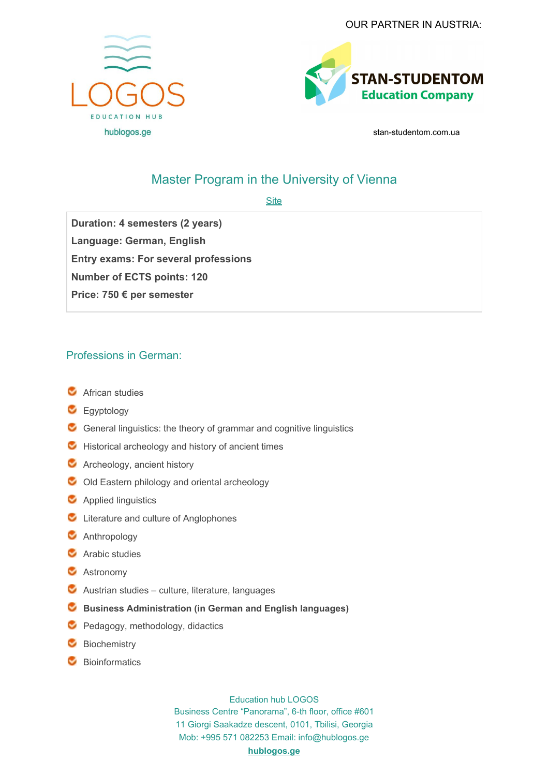



stan-studentom.com.ua

## Master Program in the University of Vienna

**[Site](https://www.boku.ac.at/en/)** 

**Duration: 4 semesters (2 years) Language: German, English Entry exams: For several professions Number of ECTS points: 120 Price: 750 € per semester**

## Professions in German:

- **C** African studies
- **C** Egyptology
- $\bullet$  General linguistics: the theory of grammar and cognitive linguistics
- $\bullet$  Historical archeology and history of ancient times
- **C** Archeology, ancient history
- $\bullet$  Old Eastern philology and oriental archeology
- **C** Applied linguistics
- C Literature and culture of Anglophones
- **C** Anthropology
- **C** Arabic studies
- **C** Astronomy
- $\bullet$  Austrian studies culture, literature, languages
- **Business Administration (in German and English languages)**
- Pedagogy, methodology, didactics
- **Biochemistry**
- **C** Bioinformatics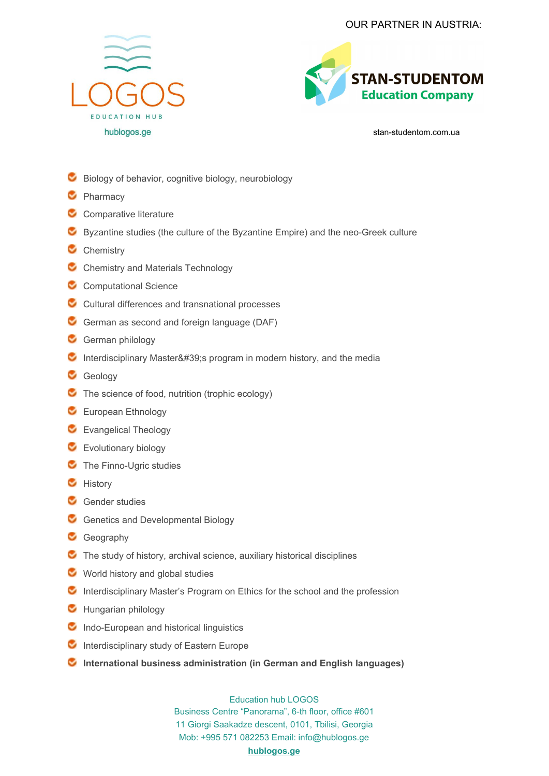



stan-studentom.com.ua

- Biology of behavior, cognitive biology, neurobiology
- **C** Pharmacy
- C Comparative literature
- Byzantine studies (the culture of the Byzantine Empire) and the neo-Greek culture
- C Chemistry
- C Chemistry and Materials Technology
- C Computational Science
- C Cultural differences and transnational processes
- German as second and foreign language (DAF)
- German philology
- Interdisciplinary Master ' s program in modern history, and the media
- Geology
- The science of food, nutrition (trophic ecology)
- **C** European Ethnology
- **C** Evangelical Theology
- **C** Evolutionary biology
- **C** The Finno-Ugric studies
- **C** History
- Gender studies
- Genetics and Developmental Biology
- Geography
- $\bullet$  The study of history, archival science, auxiliary historical disciplines
- World history and global studies
- **C** Interdisciplinary Master's Program on Ethics for the school and the profession
- **C** Hungarian philology
- $\bullet$  Indo-European and historical linguistics
- $\bullet$  Interdisciplinary study of Eastern Europe
- **International business administration (in German and English languages)**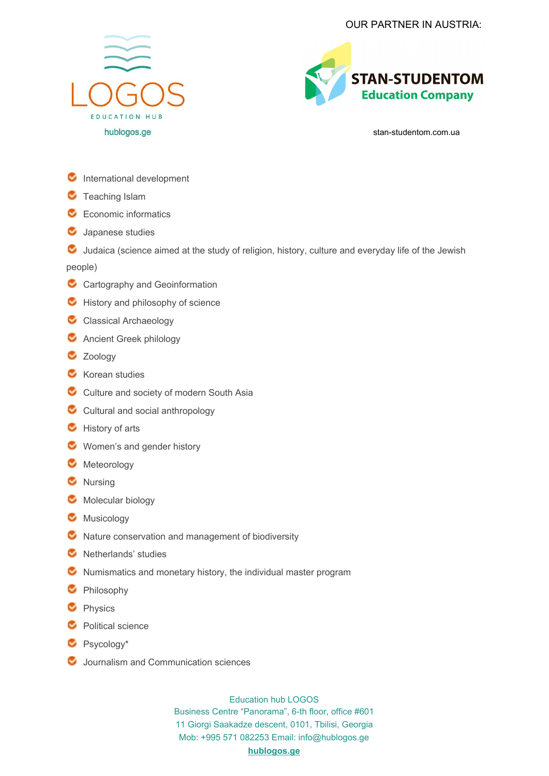



stan-studentom.com.ua

- **C** International development
- **C** Teaching Islam
- Economic informatics
- **C** Japanese studies

U Judaica (science aimed at the study of religion, history, culture and everyday life of the Jewish people)

- C Cartography and Geoinformation
- History and philosophy of science
- C Classical Archaeology
- **C** Ancient Greek philology
- **Zoology**
- **Korean studies**
- C Culture and society of modern South Asia
- C Cultural and social anthropology
- History of arts
- **Women's and gender history**
- **Meteorology**
- **C** Nursing
- **Molecular biology**
- **C** Musicology
- $\bullet$  Nature conservation and management of biodiversity
- **C** Netherlands' studies
- $\bullet$  Numismatics and monetary history, the individual master program
- **C** Philosophy
- **C** Physics
- **C** Political science
- Psycology\*
- **Journalism and Communication sciences**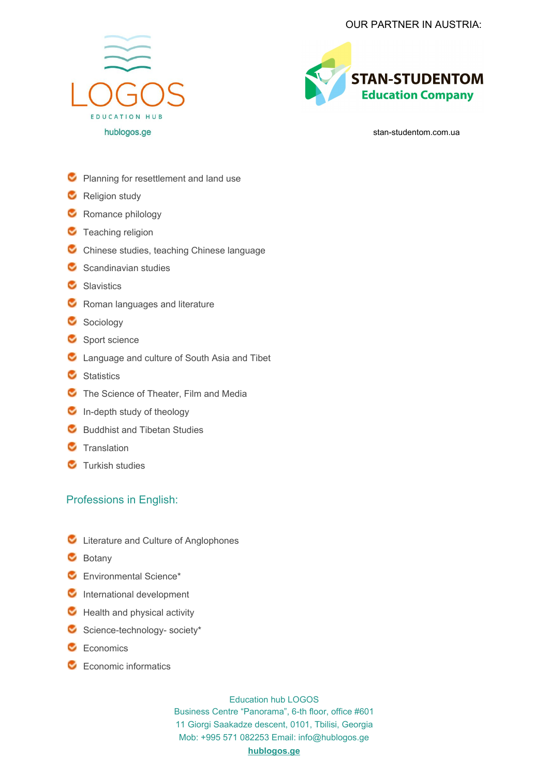



stan-studentom.com.ua

- **Planning for resettlement and land use**
- **C** Religion study
- Romance philology
- **C** Teaching religion
- C Chinese studies, teaching Chinese language
- $\bullet$  Scandinavian studies
- Slavistics
- **C** Roman languages and literature
- Sociology
- Sport science
- **C** Language and culture of South Asia and Tibet
- **C** Statistics
- The Science of Theater, Film and Media
- $\bullet$  In-depth study of theology
- **Buddhist and Tibetan Studies**
- **C** Translation
- **Turkish studies**

## Professions in English:

- C Literature and Culture of Anglophones
- **Botany**
- **Environmental Science\***
- **C** International development
- $\bullet$  Health and physical activity
- $\bullet$  Science-technology- society\*
- Economics
- **Economic informatics**